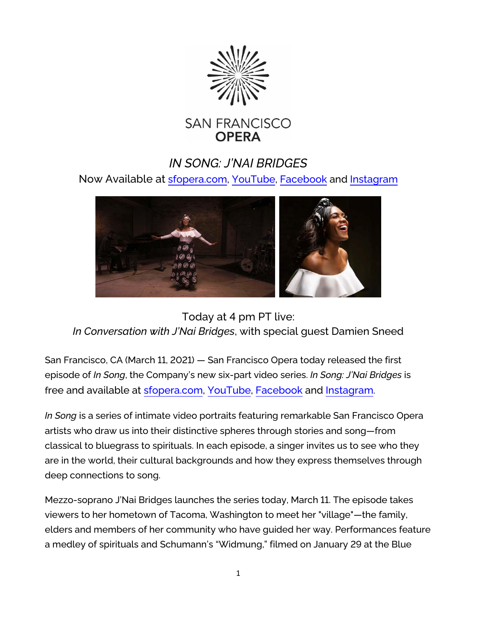

## *IN SONG: J'NAI BRIDGES*

Now Available at [sfopera.com,](https://sfopera.com/) [YouTube,](https://www.youtube.com/watch?v=uX5O0eQmH9I) [Facebook](https://www.facebook.com/SFOpera/videos/190479686208910) and [Instagram](https://www.instagram.com/p/CMSNq5Fso8b/)



Today at 4 pm PT live: *In Conversation with J'Nai Bridges*, with special guest Damien Sneed

San Francisco, CA (March 11, 2021) — San Francisco Opera today released the first episode of *In Song*, the Company's new six-part video series. *In Song: J'Nai Bridges* is free and available at [sfopera.com,](https://sfopera.com/) [YouTube,](https://www.youtube.com/watch?v=uX5O0eQmH9I) [Facebook](https://www.facebook.com/SFOpera/videos/190479686208910) and [Instagram](https://www.instagram.com/p/CMSNq5Fso8b/).

*In Song* is a series of intimate video portraits featuring remarkable San Francisco Opera artists who draw us into their distinctive spheres through stories and song—from classical to bluegrass to spirituals. In each episode, a singer invites us to see who they are in the world, their cultural backgrounds and how they express themselves through deep connections to song.

Mezzo-soprano J'Nai Bridges launches the series today, March 11. The episode takes viewers to her hometown of Tacoma, Washington to meet her "village"—the family, elders and members of her community who have guided her way. Performances feature a medley of spirituals and Schumann's "Widmung," filmed on January 29 at the Blue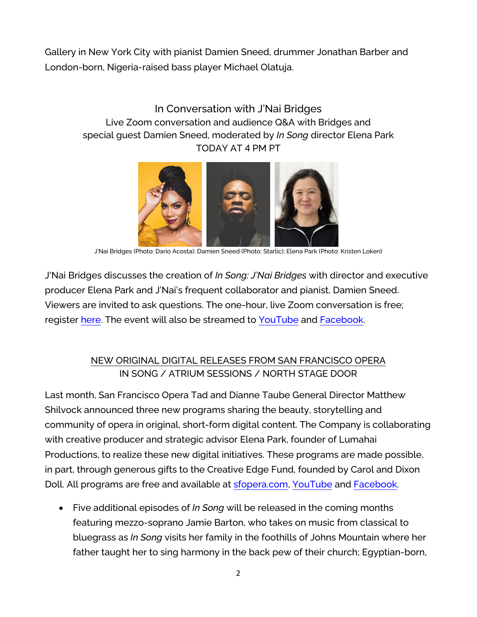Gallery in New York City with pianist Damien Sneed, drummer Jonathan Barber and London-born, Nigeria-raised bass player Michael Olatuja.

## In Conversation with J'Nai Bridges Live Zoom conversation and audience Q&A with Bridges and special guest Damien Sneed, moderated by *In Song* director Elena Park TODAY AT 4 PM PT



J'Nai Bridges (Photo: Dario Acosta); Damien Sneed (Photo: Starlic); Elena Park (Photo: Kristen Loken)

J'Nai Bridges discusses the creation of *In Song: J'Nai Bridges* with director and executive producer Elena Park and J'Nai's frequent collaborator and pianist, Damien Sneed. Viewers are invited to ask questions. The one-hour, live Zoom conversation is free; register [here.](https://us02web.zoom.us/webinar/register/WN_SYZCtx9DSqeEtH5DM48oBw?) The event will also be streamed to [YouTube](https://www.youtube.com/user/sfoperamedia) and [Facebook.](https://www.facebook.com/SFOpera)

## NEW ORIGINAL DIGITAL RELEASES FROM SAN FRANCISCO OPERA IN SONG / ATRIUM SESSIONS / NORTH STAGE DOOR

Last month, San Francisco Opera Tad and Dianne Taube General Director Matthew Shilvock announced three new programs sharing the beauty, storytelling and community of opera in original, short-form digital content. The Company is collaborating with creative producer and strategic advisor Elena Park, founder of Lumahai Productions, to realize these new digital initiatives. These programs are made possible, in part, through generous gifts to the Creative Edge Fund, founded by Carol and Dixon Doll. All programs are free and available at [sfopera.com,](https://sfopera.com/) [YouTube](https://www.youtube.com/user/sfoperamedia) and [Facebook.](https://www.facebook.com/SFOpera)

• Five additional episodes of *In Song* will be released in the coming months featuring mezzo-soprano Jamie Barton, who takes on music from classical to bluegrass as *In Song* visits her family in the foothills of Johns Mountain where her father taught her to sing harmony in the back pew of their church; Egyptian-born,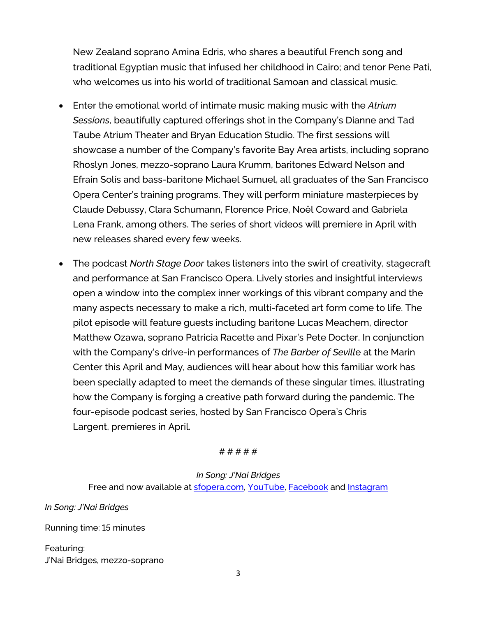New Zealand soprano Amina Edris, who shares a beautiful French song and traditional Egyptian music that infused her childhood in Cairo; and tenor Pene Pati, who welcomes us into his world of traditional Samoan and classical music.

- Enter the emotional world of intimate music making music with the *Atrium Sessions*, beautifully captured offerings shot in the Company's Dianne and Tad Taube Atrium Theater and Bryan Education Studio. The first sessions will showcase a number of the Company's favorite Bay Area artists, including soprano Rhoslyn Jones, mezzo-soprano Laura Krumm, baritones Edward Nelson and Efraín Solís and bass-baritone Michael Sumuel, all graduates of the San Francisco Opera Center's training programs. They will perform miniature masterpieces by Claude Debussy, Clara Schumann, Florence Price, Noël Coward and Gabriela Lena Frank, among others. The series of short videos will premiere in April with new releases shared every few weeks.
- The podcast *North Stage Door* takes listeners into the swirl of creativity, stagecraft and performance at San Francisco Opera. Lively stories and insightful interviews open a window into the complex inner workings of this vibrant company and the many aspects necessary to make a rich, multi-faceted art form come to life. The pilot episode will feature guests including baritone Lucas Meachem, director Matthew Ozawa, soprano Patricia Racette and Pixar's Pete Docter. In conjunction with the Company's drive-in performances of *The Barber of Sevill*e at the Marin Center this April and May, audiences will hear about how this familiar work has been specially adapted to meet the demands of these singular times, illustrating how the Company is forging a creative path forward during the pandemic. The four-episode podcast series, hosted by San Francisco Opera's Chris Largent, premieres in April.

# # # # #

*In Song: J'Nai Bridges* Free and now available at [sfopera.com,](https://sfopera.com/) [YouTube,](https://www.youtube.com/watch?v=uX5O0eQmH9I) [Facebook](https://www.facebook.com/SFOpera/videos/190479686208910) and [Instagram](https://www.instagram.com/p/CMSNq5Fso8b/)

*In Song: J'Nai Bridges*

Running time: 15 minutes

Featuring: J'Nai Bridges, mezzo-soprano